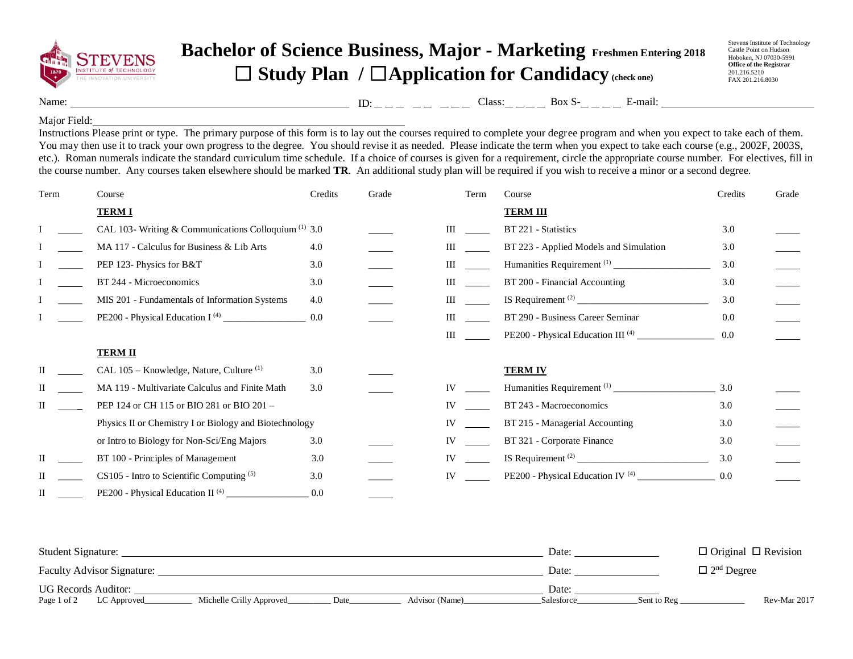

## **Bachelor of Science Business, Major - Marketing Freshmen Entering 2018** ☐ **Study Plan /** ☐**Application for Candidacy (check one)**

Stevens Institute of Technology Castle Point on Hudson Hoboken, NJ 07030-5991 **Office of the Registrar** 201.216.5210 FAX 201.216.8030

Name: Class: Box S- E-mail: ID:

## Major Field:

Instructions Please print or type. The primary purpose of this form is to lay out the courses required to complete your degree program and when you expect to take each of them. You may then use it to track your own progress to the degree. You should revise it as needed. Please indicate the term when you expect to take each course (e.g., 2002F, 2003S, etc.). Roman numerals indicate the standard curriculum time schedule. If a choice of courses is given for a requirement, circle the appropriate course number. For electives, fill in the course number. Any courses taken elsewhere should be marked **TR**. An additional study plan will be required if you wish to receive a minor or a second degree.

| Term | Course                                                          | Credits | Grade | Term      | Course                                       | Credits | Grade |
|------|-----------------------------------------------------------------|---------|-------|-----------|----------------------------------------------|---------|-------|
|      | <b>TERMI</b>                                                    |         |       |           | <b>TERM III</b>                              |         |       |
|      | CAL 103- Writing & Communications Colloquium <sup>(1)</sup> 3.0 |         |       | III       | BT 221 - Statistics                          | 3.0     |       |
|      | MA 117 - Calculus for Business & Lib Arts                       | 4.0     |       | Ш         | BT 223 - Applied Models and Simulation       | 3.0     |       |
|      | PEP 123- Physics for B&T                                        | 3.0     |       | Ш         |                                              | 3.0     |       |
|      | BT 244 - Microeconomics                                         | 3.0     |       | Ш         | BT 200 - Financial Accounting                | 3.0     |       |
|      | MIS 201 - Fundamentals of Information Systems                   | 4.0     |       | Ш         |                                              | 3.0     |       |
|      |                                                                 | 0.0     |       | Ш         | BT 290 - Business Career Seminar             | 0.0     |       |
|      |                                                                 |         |       | Ш         |                                              | 0.0     |       |
|      | <b>TERM II</b>                                                  |         |       |           |                                              |         |       |
| П    | CAL 105 - Knowledge, Nature, Culture <sup>(1)</sup>             | 3.0     |       |           | <b>TERM IV</b>                               |         |       |
| Н    | MA 119 - Multivariate Calculus and Finite Math                  | 3.0     |       | IV        |                                              | 3.0     |       |
| П    | PEP 124 or CH 115 or BIO 281 or BIO 201 -                       |         |       | IV        | BT 243 - Macroeconomics                      | 3.0     |       |
|      | Physics II or Chemistry I or Biology and Biotechnology          |         |       | IV        | BT 215 - Managerial Accounting               | 3.0     |       |
|      | or Intro to Biology for Non-Sci/Eng Majors                      | 3.0     |       | IV        | BT 321 - Corporate Finance                   | 3.0     |       |
|      | BT 100 - Principles of Management                               | 3.0     |       | <b>IV</b> |                                              | 3.0     |       |
|      | CS105 - Intro to Scientific Computing (5)                       | 3.0     |       | IV        | PE200 - Physical Education IV <sup>(4)</sup> | 0.0     |       |
| П    | PE200 - Physical Education II <sup>(4)</sup>                    | 0.0     |       |           |                                              |         |       |

| Student Signature:         |             |                          |      |                | Date:      |                               | $\Box$ Original $\Box$ Revision |  |
|----------------------------|-------------|--------------------------|------|----------------|------------|-------------------------------|---------------------------------|--|
| Faculty Advisor Signature: |             |                          |      |                | Date:      | $\Box$ 2 <sup>nd</sup> Degree |                                 |  |
| <b>UG Records Auditor:</b> |             |                          |      |                | Date:      |                               |                                 |  |
| Page 1 of 2                | LC Approved | Michelle Crilly Approved | Date | Advisor (Name) | Salesforce | Sent to Reg                   | Rev-Mar 2017                    |  |